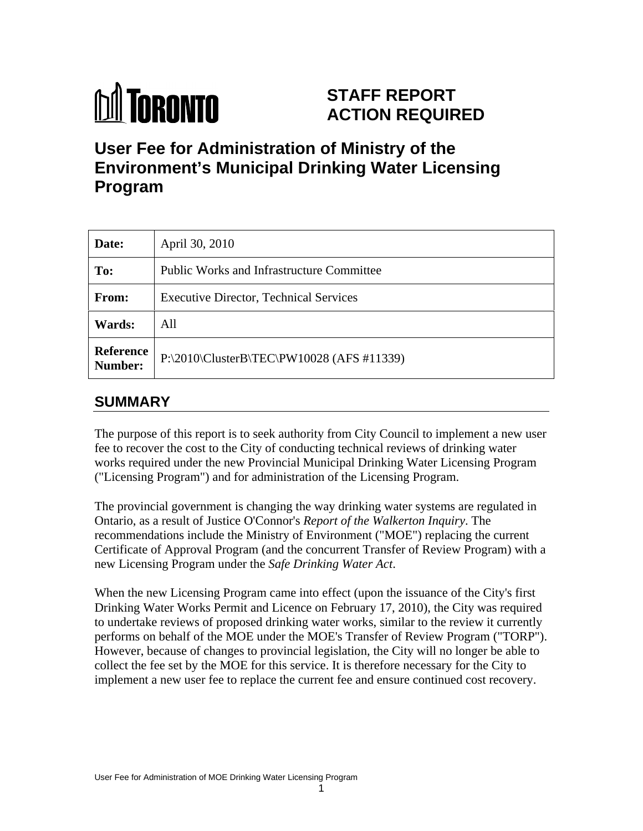

# **STAFF REPORT ACTION REQUIRED**

# **User Fee for Administration of Ministry of the Environment's Municipal Drinking Water Licensing Program**

| Date:         | April 30, 2010                                        |
|---------------|-------------------------------------------------------|
| To:           | Public Works and Infrastructure Committee             |
| From:         | <b>Executive Director, Technical Services</b>         |
| <b>Wards:</b> | All                                                   |
|               | Reference $P:\2010\ClusterB\TEC\PW10028 (AFS #11339)$ |

# **SUMMARY**

The purpose of this report is to seek authority from City Council to implement a new user fee to recover the cost to the City of conducting technical reviews of drinking water works required under the new Provincial Municipal Drinking Water Licensing Program ("Licensing Program") and for administration of the Licensing Program.

The provincial government is changing the way drinking water systems are regulated in Ontario, as a result of Justice O'Connor's *Report of the Walkerton Inquiry*. The recommendations include the Ministry of Environment ("MOE") replacing the current Certificate of Approval Program (and the concurrent Transfer of Review Program) with a new Licensing Program under the *Safe Drinking Water Act*.

When the new Licensing Program came into effect (upon the issuance of the City's first Drinking Water Works Permit and Licence on February 17, 2010), the City was required to undertake reviews of proposed drinking water works, similar to the review it currently performs on behalf of the MOE under the MOE's Transfer of Review Program ("TORP"). However, because of changes to provincial legislation, the City will no longer be able to collect the fee set by the MOE for this service. It is therefore necessary for the City to implement a new user fee to replace the current fee and ensure continued cost recovery.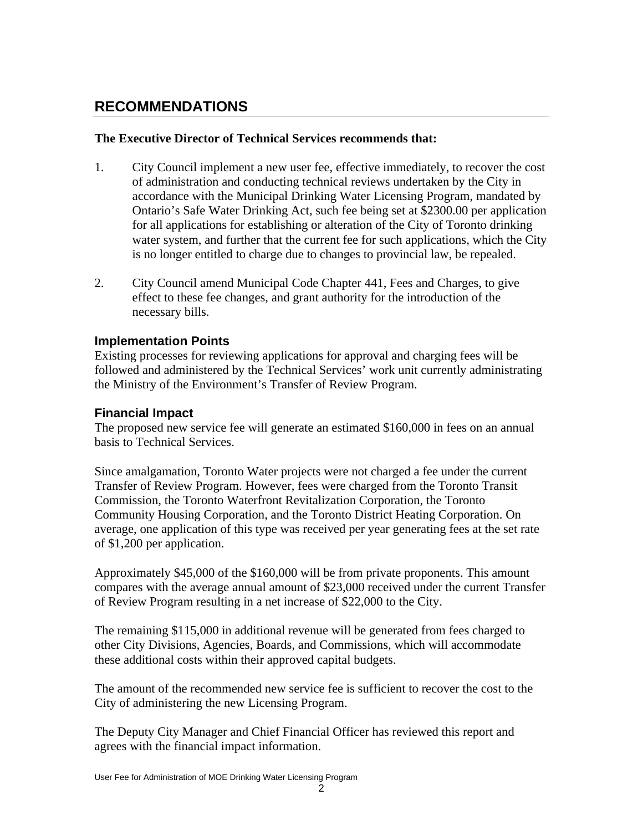## **RECOMMENDATIONS**

#### **The Executive Director of Technical Services recommends that:**

- 1. City Council implement a new user fee, effective immediately, to recover the cost of administration and conducting technical reviews undertaken by the City in accordance with the Municipal Drinking Water Licensing Program, mandated by Ontario's Safe Water Drinking Act, such fee being set at \$2300.00 per application for all applications for establishing or alteration of the City of Toronto drinking water system, and further that the current fee for such applications, which the City is no longer entitled to charge due to changes to provincial law, be repealed.
- 2. City Council amend Municipal Code Chapter 441, Fees and Charges, to give effect to these fee changes, and grant authority for the introduction of the necessary bills.

#### **Implementation Points**

Existing processes for reviewing applications for approval and charging fees will be followed and administered by the Technical Services' work unit currently administrating the Ministry of the Environment's Transfer of Review Program.

#### **Financial Impact**

The proposed new service fee will generate an estimated \$160,000 in fees on an annual basis to Technical Services.<br>Since amalgamation, Toronto Water projects were not charged a fee under the current

Transfer of Review Program. However, fees were charged from the Toronto Transit Commission, the Toronto Waterfront Revitalization Corporation, the Toronto Community Housing Corporation, and the Toronto District Heating Corporation. On average, one application of this type was received per year generating fees at the set rate of \$1,200 per application.

Approximately \$45,000 of the \$160,000 will be from private proponents. This amount compares with the average annual amount of \$23,000 received under the current Transfer of Review Program resulting in a net increase of \$22,000 to the City.

The remaining \$115,000 in additional revenue will be generated from fees charged to other City Divisions, Agencies, Boards, and Commissions, which will accommodate these additional costs within their approved capital budgets.

The amount of the recommended new service fee is sufficient to recover the cost to the City of administering the new Licensing Program.

The Deputy City Manager and Chief Financial Officer has reviewed this report and agrees with the financial impact information.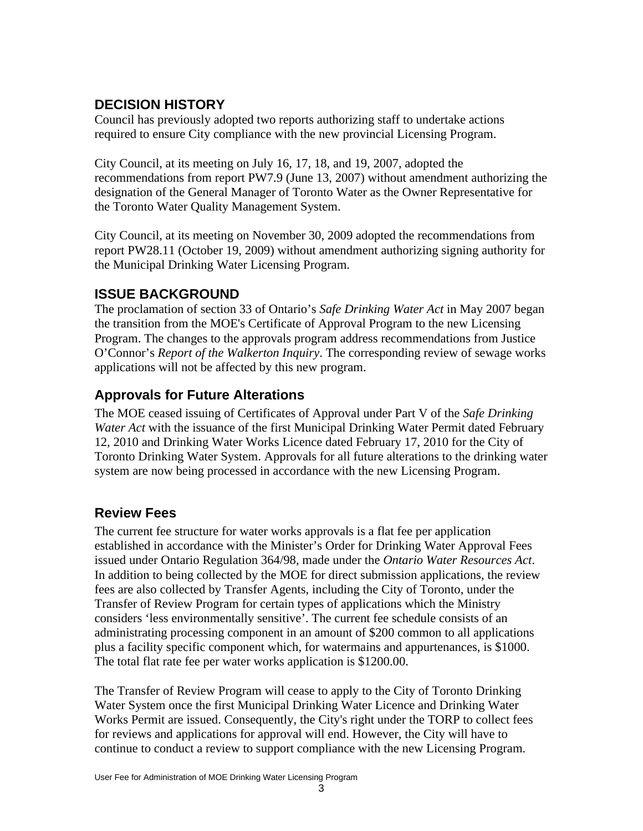## **DECISION HISTORY**

Council has previously adopted two reports authorizing staff to undertake actions required to ensure City compliance with the new provincial Licensing Program.

City Council, at its meeting on July 16, 17, 18, and 19, 2007, adopted the recommendations from report PW7.9 (June 13, 2007) without amendment authorizing the designation of the General Manager of Toronto Water as the Owner Representative for the Toronto Water Quality Management System.

City Council, at its meeting on November 30, 2009 adopted the recommendations from report PW28.11 (October 19, 2009) without amendment authorizing signing authority for the Municipal Drinking Water Licensing Program.

## **ISSUE BACKGROUND**

The proclamation of section 33 of Ontario's *Safe Drinking Water Act* in May 2007 began the transition from the MOE's Certificate of Approval Program to the new Licensing Program. The changes to the approvals program address recommendations from Justice O'Connor's *Report of the Walkerton Inquiry*. The corresponding review of sewage works applications will not be affected by this new program.

# **Approvals for Future Alterations**

The MOE ceased issuing of Certificates of Approval under Part V of the *Safe Drinking Water Act* with the issuance of the first Municipal Drinking Water Permit dated February 12, 2010 and Drinking Water Works Licence dated February 17, 2010 for the City of Toronto Drinking Water System. Approvals for all future alterations to the drinking water system are now being processed in accordance with the new Licensing Program.

# **Review Fees**

The current fee structure for water works approvals is a flat fee per application established in accordance with the Minister's Order for Drinking Water Approval Fees issued under Ontario Regulation 364/98, made under the *Ontario Water Resources Act*. In addition to being collected by the MOE for direct submission applications, the review fees are also collected by Transfer Agents, including the City of Toronto, under the Transfer of Review Program for certain types of applications which the Ministry considers 'less environmentally sensitive'. The current fee schedule consists of an administrating processing component in an amount of \$200 common to all applications plus a facility specific component which, for watermains and appurtenances, is \$1000. The total flat rate fee per water works application is \$1200.00.

The Transfer of Review Program will cease to apply to the City of Toronto Drinking Water System once the first Municipal Drinking Water Licence and Drinking Water Works Permit are issued. Consequently, the City's right under the TORP to collect fees for reviews and applications for approval will end. However, the City will have to continue to conduct a review to support compliance with the new Licensing Program.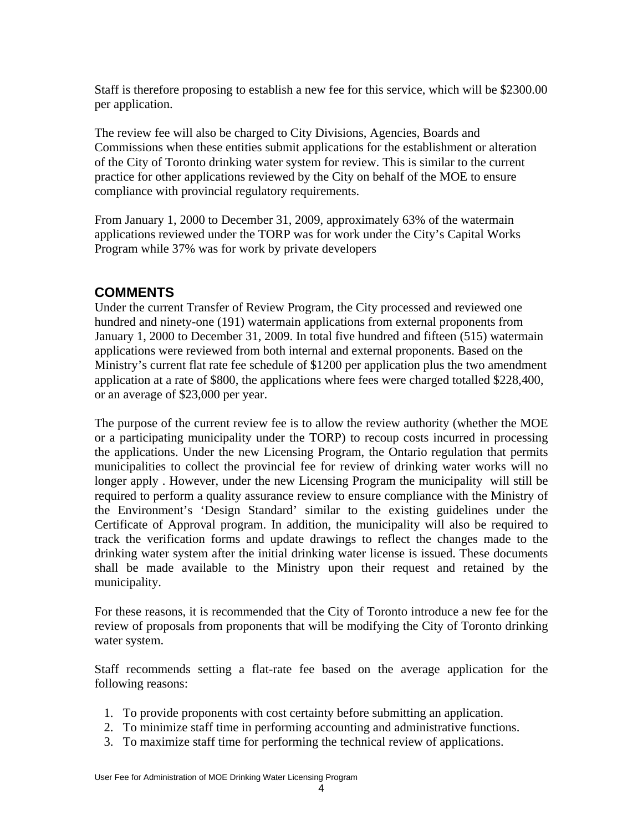Staff is therefore proposing to establish a new fee for this service, which will be \$2300.00 per application.

The review fee will also be charged to City Divisions, Agencies, Boards and Commissions when these entities submit applications for the establishment or alteration of the City of Toronto drinking water system for review. This is similar to the current practice for other applications reviewed by the City on behalf of the MOE to ensure compliance with provincial regulatory requirements.

From January 1, 2000 to December 31, 2009, approximately 63% of the watermain applications reviewed under the TORP was for work under the City's Capital Works Program while 37% was for work by private developers

## **COMMENTS**

Under the current Transfer of Review Program, the City processed and reviewed one hundred and ninety-one (191) watermain applications from external proponents from January 1, 2000 to December 31, 2009. In total five hundred and fifteen (515) watermain applications were reviewed from both internal and external proponents. Based on the Ministry's current flat rate fee schedule of \$1200 per application plus the two amendment application at a rate of \$800, the applications where fees were charged totalled \$228,400, or an average of \$23,000 per year.

The purpose of the current review fee is to allow the review authority (whether the MOE or a participating municipality under the TORP) to recoup costs incurred in processing the applications. Under the new Licensing Program, the Ontario regulation that permits municipalities to collect the provincial fee for review of drinking water works will no longer apply . However, under the new Licensing Program the municipality will still be required to perform a quality assurance review to ensure compliance with the Ministry of the Environment's 'Design Standard' similar to the existing guidelines under the Certificate of Approval program. In addition, the municipality will also be required to track the verification forms and update drawings to reflect the changes made to the drinking water system after the initial drinking water license is issued. These documents shall be made available to the Ministry upon their request and retained by the municipality.

For these reasons, it is recommended that the City of Toronto introduce a new fee for the review of proposals from proponents that will be modifying the City of Toronto drinking water system.

Staff recommends setting a flat-rate fee based on the average application for the following reasons:

- 1. To provide proponents with cost certainty before submitting an application.
- 2. To minimize staff time in performing accounting and administrative functions.
- 3. To maximize staff time for performing the technical review of applications.